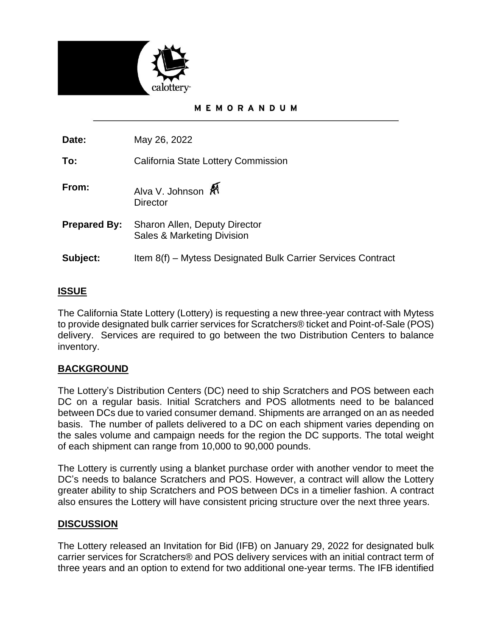

### MEMORANDUM

**Date:** May 26, 2022

**To:** California State Lottery Commission

- **From:** Alva V. Johnson  $\hat{M}$ **Director**
- **Prepared By:** Sharon Allen, Deputy Director Sales & Marketing Division
- **Subject:** Item 8(f) Mytess Designated Bulk Carrier Services Contract

# **ISSUE**

The California State Lottery (Lottery) is requesting a new three-year contract with Mytess to provide designated bulk carrier services for Scratchers® ticket and Point-of-Sale (POS) delivery. Services are required to go between the two Distribution Centers to balance inventory.

# **BACKGROUND**

The Lottery's Distribution Centers (DC) need to ship Scratchers and POS between each DC on a regular basis. Initial Scratchers and POS allotments need to be balanced between DCs due to varied consumer demand. Shipments are arranged on an as needed basis. The number of pallets delivered to a DC on each shipment varies depending on the sales volume and campaign needs for the region the DC supports. The total weight of each shipment can range from 10,000 to 90,000 pounds.

The Lottery is currently using a blanket purchase order with another vendor to meet the DC's needs to balance Scratchers and POS. However, a contract will allow the Lottery greater ability to ship Scratchers and POS between DCs in a timelier fashion. A contract also ensures the Lottery will have consistent pricing structure over the next three years.

### **DISCUSSION**

The Lottery released an Invitation for Bid (IFB) on January 29, 2022 for designated bulk carrier services for Scratchers® and POS delivery services with an initial contract term of three years and an option to extend for two additional one-year terms. The IFB identified